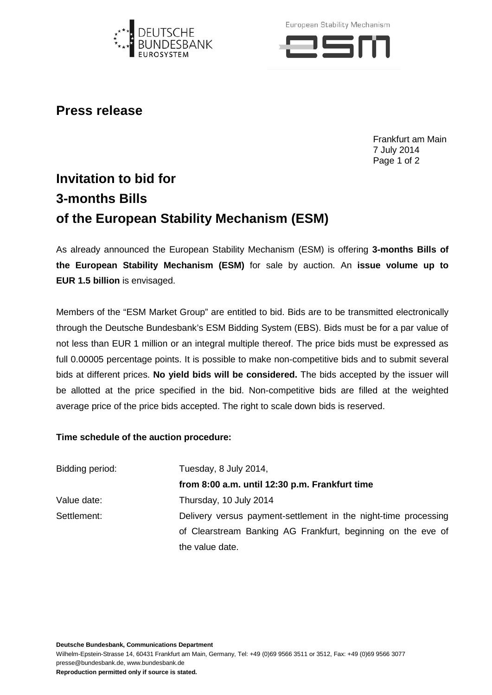

European Stability Mechanism



## **Press release**

Frankfurt am Main 7 July 2014 Page 1 of 2

## **Invitation to bid for 3-months Bills of the European Stability Mechanism (ESM)**

As already announced the European Stability Mechanism (ESM) is offering **3-months Bills of the European Stability Mechanism (ESM)** for sale by auction. An **issue volume up to EUR 1.5 billion** is envisaged.

Members of the "ESM Market Group" are entitled to bid. Bids are to be transmitted electronically through the Deutsche Bundesbank's ESM Bidding System (EBS). Bids must be for a par value of not less than EUR 1 million or an integral multiple thereof. The price bids must be expressed as full 0.00005 percentage points. It is possible to make non-competitive bids and to submit several bids at different prices. **No yield bids will be considered.** The bids accepted by the issuer will be allotted at the price specified in the bid. Non-competitive bids are filled at the weighted average price of the price bids accepted. The right to scale down bids is reserved.

## **Time schedule of the auction procedure:**

| Bidding period: | Tuesday, 8 July 2014,                                           |
|-----------------|-----------------------------------------------------------------|
|                 | from 8:00 a.m. until 12:30 p.m. Frankfurt time                  |
| Value date:     | Thursday, 10 July 2014                                          |
| Settlement:     | Delivery versus payment-settlement in the night-time processing |
|                 | of Clearstream Banking AG Frankfurt, beginning on the eve of    |
|                 | the value date.                                                 |

**Deutsche Bundesbank, Communications Department**

Wilhelm-Epstein-Strasse 14, 60431 Frankfurt am Main, Germany, Tel: +49 (0)69 9566 3511 or 3512, Fax: +49 (0)69 9566 3077 presse@bundesbank.de, www.bundesbank.de

**Reproduction permitted only if source is stated.**